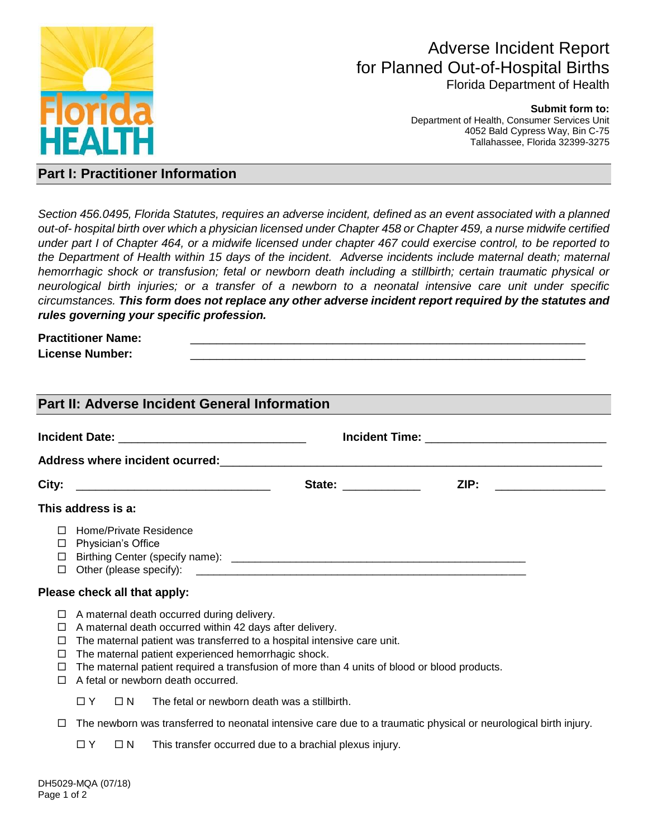

# Adverse Incident Report for Planned Out-of-Hospital Births Florida Department of Health

#### **Submit form to:**

Department of Health, Consumer Services Unit 4052 Bald Cypress Way, Bin C-75 Tallahassee, Florida 32399-3275

### **Part I: Practitioner Information**

*Section 456.0495, Florida Statutes, requires an adverse incident, defined as an event associated with a planned out-of- hospital birth over which a physician licensed under Chapter 458 or Chapter 459, a nurse midwife certified under part I of Chapter 464, or a midwife licensed under chapter 467 could exercise control, to be reported to the Department of Health within 15 days of the incident. Adverse incidents include maternal death; maternal hemorrhagic shock or transfusion; fetal or newborn death including a stillbirth; certain traumatic physical or neurological birth injuries; or a transfer of a newborn to a neonatal intensive care unit under specific circumstances. This form does not replace any other adverse incident report required by the statutes and rules governing your specific profession.*

# **Practitioner Name:**

License Number:

| Part II: Adverse Incident General Information |                                                                                                                                                                                                                                                                                                                                                                                |                      |                       |  |  |  |
|-----------------------------------------------|--------------------------------------------------------------------------------------------------------------------------------------------------------------------------------------------------------------------------------------------------------------------------------------------------------------------------------------------------------------------------------|----------------------|-----------------------|--|--|--|
|                                               |                                                                                                                                                                                                                                                                                                                                                                                |                      |                       |  |  |  |
|                                               |                                                                                                                                                                                                                                                                                                                                                                                |                      |                       |  |  |  |
| City:                                         |                                                                                                                                                                                                                                                                                                                                                                                | State: _____________ | ZIP: ________________ |  |  |  |
|                                               | This address is a:                                                                                                                                                                                                                                                                                                                                                             |                      |                       |  |  |  |
| П<br>$\Box$<br>□                              | Home/Private Residence<br>□ Physician's Office                                                                                                                                                                                                                                                                                                                                 |                      |                       |  |  |  |
|                                               | Please check all that apply:                                                                                                                                                                                                                                                                                                                                                   |                      |                       |  |  |  |
| $\Box$<br>⊔<br>⊔<br>⊔<br>□<br>П               | A maternal death occurred during delivery.<br>A maternal death occurred within 42 days after delivery.<br>The maternal patient was transferred to a hospital intensive care unit.<br>The maternal patient experienced hemorrhagic shock.<br>The maternal patient required a transfusion of more than 4 units of blood or blood products.<br>A fetal or newborn death occurred. |                      |                       |  |  |  |
|                                               | The fetal or newborn death was a stillbirth.<br>$\Box N$<br>O Y                                                                                                                                                                                                                                                                                                                |                      |                       |  |  |  |

- $\Box$  The newborn was transferred to neonatal intensive care due to a traumatic physical or neurological birth injury.
	- $\Box Y$   $\Box N$  This transfer occurred due to a brachial plexus injury.